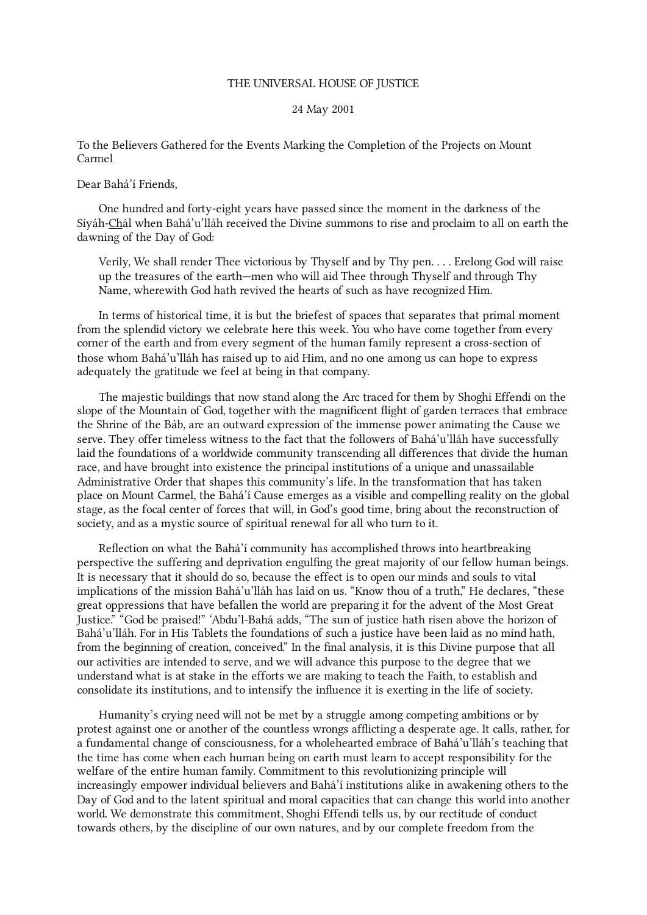## THE UNIVERSAL HOUSE OF JUSTICE

## 24 May 2001

To the Believers Gathered for the Events Marking the Completion of the Projects on Mount Carmel

Dear Bahá'í Friends,

One hundred and forty-eight years have passed since the moment in the darkness of the Síyáh-Chál when Bahá'u'lláh received the Divine summons to rise and proclaim to all on earth the dawning of the Day of God:

Verily, We shall render Thee victorious by Thyself and by Thy pen. . . . Erelong God will raise up the treasures of the earth—men who will aid Thee through Thyself and through Thy Name, wherewith God hath revived the hearts of such as have recognized Him.

In terms of historical time, it is but the briefest of spaces that separates that primal moment from the splendid victory we celebrate here this week. You who have come together from every corner of the earth and from every segment of the human family represent a cross-section of those whom Bahá'u'lláh has raised up to aid Him, and no one among us can hope to express adequately the gratitude we feel at being in that company.

The majestic buildings that now stand along the Arc traced for them by Shoghi Effendi on the slope of the Mountain of God, together with the magnificent flight of garden terraces that embrace the Shrine of the Báb, are an outward expression of the immense power animating the Cause we serve. They offer timeless witness to the fact that the followers of Bahá'u'lláh have successfully laid the foundations of a worldwide community transcending all differences that divide the human race, and have brought into existence the principal institutions of a unique and unassailable Administrative Order that shapes this community's life. In the transformation that has taken place on Mount Carmel, the Bahá'í Cause emerges as a visible and compelling reality on the global stage, as the focal center of forces that will, in God's good time, bring about the reconstruction of society, and as a mystic source of spiritual renewal for all who turn to it.

Reflection on what the Bahá'í community has accomplished throws into heartbreaking perspective the suffering and deprivation engulfing the great majority of our fellow human beings. It is necessary that it should do so, because the effect is to open our minds and souls to vital implications of the mission Bahá'u'lláh has laid on us. "Know thou of a truth," He declares, "these great oppressions that have befallen the world are preparing it for the advent of the Most Great Justice." "God be praised!" 'Abdu'l‑Bahá adds, "The sun of justice hath risen above the horizon of Bahá'u'lláh. For in His Tablets the foundations of such a justice have been laid as no mind hath, from the beginning of creation, conceived." In the final analysis, it is this Divine purpose that all our activities are intended to serve, and we will advance this purpose to the degree that we understand what is at stake in the efforts we are making to teach the Faith, to establish and consolidate its institutions, and to intensify the influence it is exerting in the life of society.

Humanity's crying need will not be met by a struggle among competing ambitions or by protest against one or another of the countless wrongs afflicting a desperate age. It calls, rather, for a fundamental change of consciousness, for a wholehearted embrace of Bahá'u'lláh's teaching that the time has come when each human being on earth must learn to accept responsibility for the welfare of the entire human family. Commitment to this revolutionizing principle will increasingly empower individual believers and Bahá'í institutions alike in awakening others to the Day of God and to the latent spiritual and moral capacities that can change this world into another world. We demonstrate this commitment, Shoghi Effendi tells us, by our rectitude of conduct towards others, by the discipline of our own natures, and by our complete freedom from the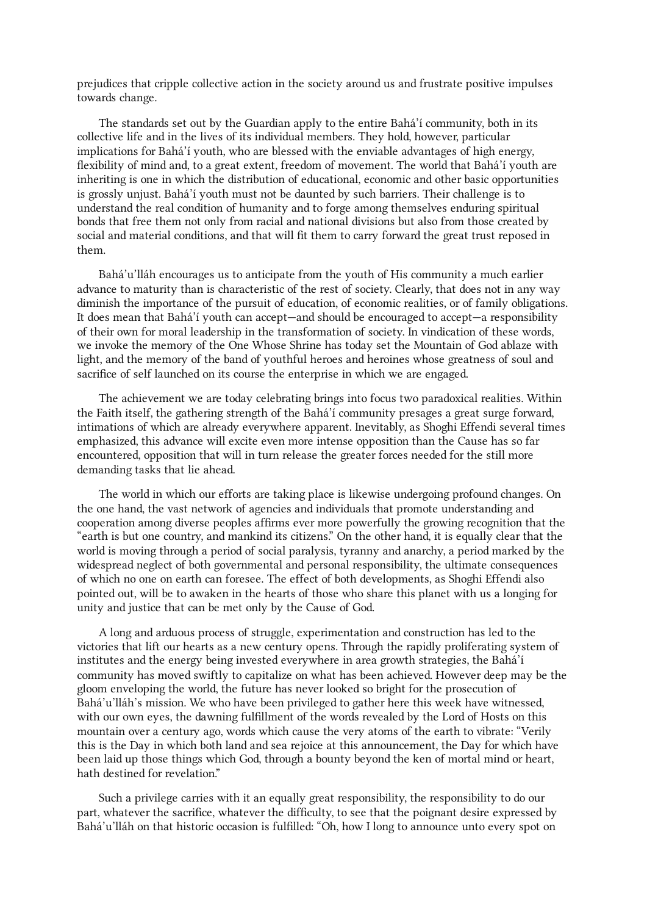prejudices that cripple collective action in the society around us and frustrate positive impulses towards change.

The standards set out by the Guardian apply to the entire Bahá'í community, both in its collective life and in the lives of its individual members. They hold, however, particular implications for Bahá'í youth, who are blessed with the enviable advantages of high energy, flexibility of mind and, to a great extent, freedom of movement. The world that Bahá'í youth are inheriting is one in which the distribution of educational, economic and other basic opportunities is grossly unjust. Bahá'í youth must not be daunted by such barriers. Their challenge is to understand the real condition of humanity and to forge among themselves enduring spiritual bonds that free them not only from racial and national divisions but also from those created by social and material conditions, and that will fit them to carry forward the great trust reposed in them.

Bahá'u'lláh encourages us to anticipate from the youth of His community a much earlier advance to maturity than is characteristic of the rest of society. Clearly, that does not in any way diminish the importance of the pursuit of education, of economic realities, or of family obligations. It does mean that Bahá'í youth can accept—and should be encouraged to accept—a responsibility of their own for moral leadership in the transformation of society. In vindication of these words, we invoke the memory of the One Whose Shrine has today set the Mountain of God ablaze with light, and the memory of the band of youthful heroes and heroines whose greatness of soul and sacrifice of self launched on its course the enterprise in which we are engaged.

The achievement we are today celebrating brings into focus two paradoxical realities. Within the Faith itself, the gathering strength of the Bahá'í community presages a great surge forward, intimations of which are already everywhere apparent. Inevitably, as Shoghi Effendi several times emphasized, this advance will excite even more intense opposition than the Cause has so far encountered, opposition that will in turn release the greater forces needed for the still more demanding tasks that lie ahead.

The world in which our efforts are taking place is likewise undergoing profound changes. On the one hand, the vast network of agencies and individuals that promote understanding and cooperation among diverse peoples affirms ever more powerfully the growing recognition that the "earth is but one country, and mankind its citizens." On the other hand, it is equally clear that the world is moving through a period of social paralysis, tyranny and anarchy, a period marked by the widespread neglect of both governmental and personal responsibility, the ultimate consequences of which no one on earth can foresee. The effect of both developments, as Shoghi Effendi also pointed out, will be to awaken in the hearts of those who share this planet with us a longing for unity and justice that can be met only by the Cause of God.

A long and arduous process of struggle, experimentation and construction has led to the victories that lift our hearts as a new century opens. Through the rapidly proliferating system of institutes and the energy being invested everywhere in area growth strategies, the Bahá'í community has moved swiftly to capitalize on what has been achieved. However deep may be the gloom enveloping the world, the future has never looked so bright for the prosecution of Bahá'u'lláh's mission. We who have been privileged to gather here this week have witnessed, with our own eyes, the dawning fulfillment of the words revealed by the Lord of Hosts on this mountain over a century ago, words which cause the very atoms of the earth to vibrate: "Verily this is the Day in which both land and sea rejoice at this announcement, the Day for which have been laid up those things which God, through a bounty beyond the ken of mortal mind or heart, hath destined for revelation."

Such a privilege carries with it an equally great responsibility, the responsibility to do our part, whatever the sacrifice, whatever the difficulty, to see that the poignant desire expressed by Bahá'u'lláh on that historic occasion is fulfilled: "Oh, how I long to announce unto every spot on